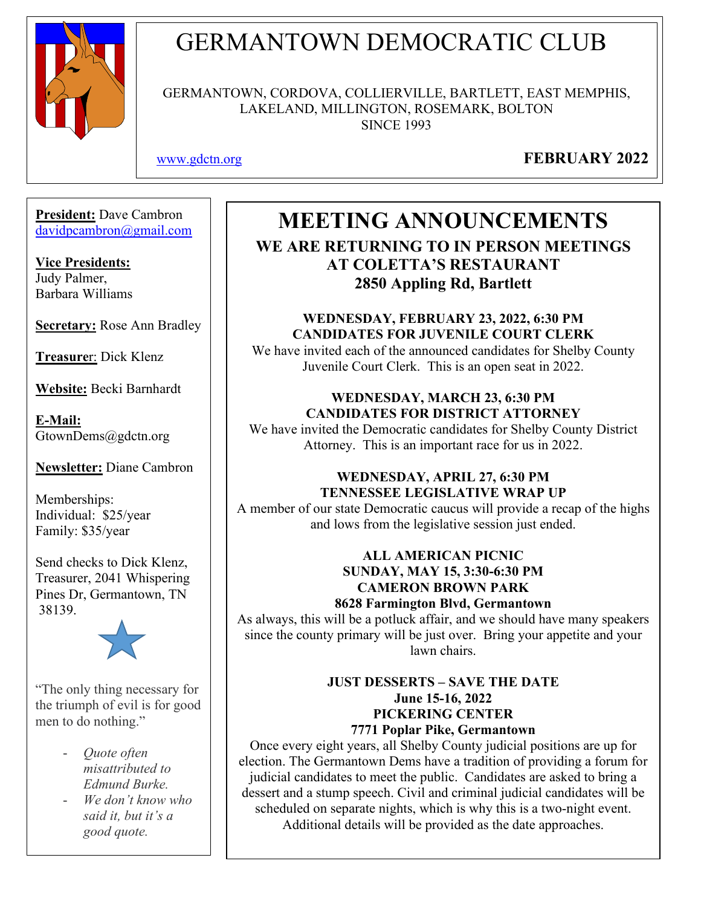

# GERMANTOWN DEMOCRATIC CLUB

GERMANTOWN, CORDOVA, COLLIERVILLE, BARTLETT, EAST MEMPHIS, LAKELAND, MILLINGTON, ROSEMARK, BOLTON SINCE 1993

[www.gdctn.org](http://www.gdctn.org/) **FEBRUARY 2022**

**President:** Dave Cambron [davidpcambron@gmail.com](mailto:davidpcambron@gmail.com)

**Vice Presidents:** Judy Palmer, Barbara Williams

**Secretary:** Rose Ann Bradley

**Treasure**r: Dick Klenz

**Website:** Becki Barnhardt

**E-Mail:** GtownDems@gdctn.org

**Newsletter:** Diane Cambron

Memberships: Individual: \$25/year Family: \$35/year

Send checks to Dick Klenz, Treasurer, 2041 Whispering Pines Dr, Germantown, TN 38139.



"The only thing necessary for the triumph of evil is for good men to do nothing."

- *Quote often misattributed to Edmund Burke.*
- *We don't know who said it, but it's a good quote.*

# **MEETING ANNOUNCEMENTS**

**WE ARE RETURNING TO IN PERSON MEETINGS AT COLETTA'S RESTAURANT 2850 Appling Rd, Bartlett** 

**WEDNESDAY, FEBRUARY 23, 2022, 6:30 PM CANDIDATES FOR JUVENILE COURT CLERK** We have invited each of the announced candidates for Shelby County Juvenile Court Clerk. This is an open seat in 2022.

# **WEDNESDAY, MARCH 23, 6:30 PM CANDIDATES FOR DISTRICT ATTORNEY**

We have invited the Democratic candidates for Shelby County District Attorney. This is an important race for us in 2022.

#### **WEDNESDAY, APRIL 27, 6:30 PM TENNESSEE LEGISLATIVE WRAP UP**

A member of our state Democratic caucus will provide a recap of the highs and lows from the legislative session just ended.

### **ALL AMERICAN PICNIC SUNDAY, MAY 15, 3:30-6:30 PM CAMERON BROWN PARK**

# **8628 Farmington Blvd, Germantown**

As always, this will be a potluck affair, and we should have many speakers since the county primary will be just over. Bring your appetite and your lawn chairs.

#### **JUST DESSERTS – SAVE THE DATE June 15-16, 2022 PICKERING CENTER 7771 Poplar Pike, Germantown**

Once every eight years, all Shelby County judicial positions are up for election. The Germantown Dems have a tradition of providing a forum for judicial candidates to meet the public. Candidates are asked to bring a dessert and a stump speech. Civil and criminal judicial candidates will be scheduled on separate nights, which is why this is a two-night event. Additional details will be provided as the date approaches.